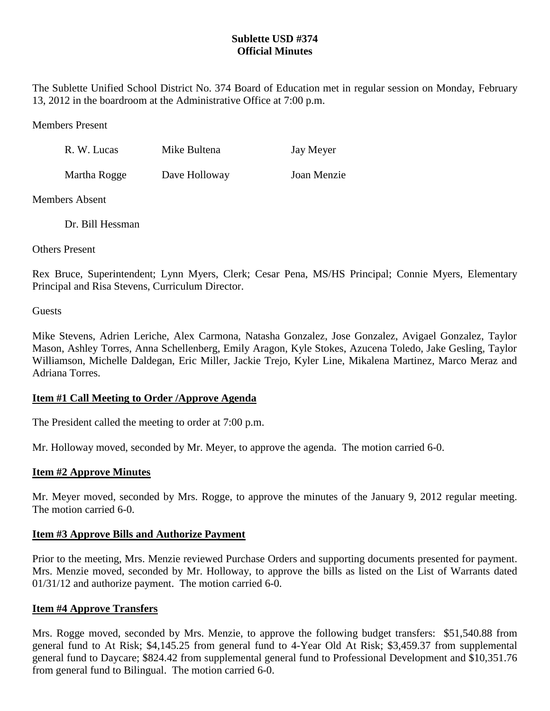# **Sublette USD #374 Official Minutes**

The Sublette Unified School District No. 374 Board of Education met in regular session on Monday, February 13, 2012 in the boardroom at the Administrative Office at 7:00 p.m.

Members Present

| R. W. Lucas  | Mike Bultena  | Jay Meyer   |
|--------------|---------------|-------------|
| Martha Rogge | Dave Holloway | Joan Menzie |

Members Absent

Dr. Bill Hessman

Others Present

Rex Bruce, Superintendent; Lynn Myers, Clerk; Cesar Pena, MS/HS Principal; Connie Myers, Elementary Principal and Risa Stevens, Curriculum Director.

**Guests** 

Mike Stevens, Adrien Leriche, Alex Carmona, Natasha Gonzalez, Jose Gonzalez, Avigael Gonzalez, Taylor Mason, Ashley Torres, Anna Schellenberg, Emily Aragon, Kyle Stokes, Azucena Toledo, Jake Gesling, Taylor Williamson, Michelle Daldegan, Eric Miller, Jackie Trejo, Kyler Line, Mikalena Martinez, Marco Meraz and Adriana Torres.

# **Item #1 Call Meeting to Order /Approve Agenda**

The President called the meeting to order at 7:00 p.m.

Mr. Holloway moved, seconded by Mr. Meyer, to approve the agenda. The motion carried 6-0.

# **Item #2 Approve Minutes**

Mr. Meyer moved, seconded by Mrs. Rogge, to approve the minutes of the January 9, 2012 regular meeting. The motion carried 6-0.

### **Item #3 Approve Bills and Authorize Payment**

Prior to the meeting, Mrs. Menzie reviewed Purchase Orders and supporting documents presented for payment. Mrs. Menzie moved, seconded by Mr. Holloway, to approve the bills as listed on the List of Warrants dated 01/31/12 and authorize payment. The motion carried 6-0.

# **Item #4 Approve Transfers**

Mrs. Rogge moved, seconded by Mrs. Menzie, to approve the following budget transfers: \$51,540.88 from general fund to At Risk; \$4,145.25 from general fund to 4-Year Old At Risk; \$3,459.37 from supplemental general fund to Daycare; \$824.42 from supplemental general fund to Professional Development and \$10,351.76 from general fund to Bilingual. The motion carried 6-0.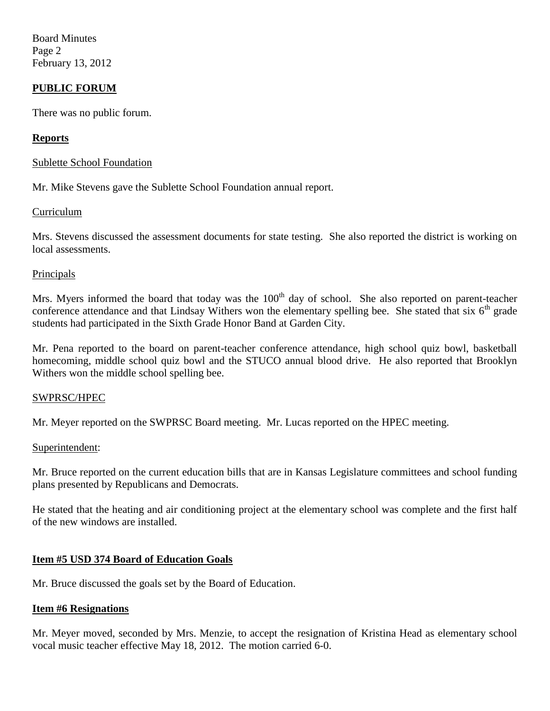Board Minutes Page 2 February 13, 2012

## **PUBLIC FORUM**

There was no public forum.

### **Reports**

### Sublette School Foundation

Mr. Mike Stevens gave the Sublette School Foundation annual report.

### Curriculum

Mrs. Stevens discussed the assessment documents for state testing. She also reported the district is working on local assessments.

### Principals

Mrs. Myers informed the board that today was the  $100<sup>th</sup>$  day of school. She also reported on parent-teacher conference attendance and that Lindsay Withers won the elementary spelling bee. She stated that six  $6<sup>th</sup>$  grade students had participated in the Sixth Grade Honor Band at Garden City.

Mr. Pena reported to the board on parent-teacher conference attendance, high school quiz bowl, basketball homecoming, middle school quiz bowl and the STUCO annual blood drive. He also reported that Brooklyn Withers won the middle school spelling bee.

#### SWPRSC/HPEC

Mr. Meyer reported on the SWPRSC Board meeting. Mr. Lucas reported on the HPEC meeting.

#### Superintendent:

Mr. Bruce reported on the current education bills that are in Kansas Legislature committees and school funding plans presented by Republicans and Democrats.

He stated that the heating and air conditioning project at the elementary school was complete and the first half of the new windows are installed.

### **Item #5 USD 374 Board of Education Goals**

Mr. Bruce discussed the goals set by the Board of Education.

#### **Item #6 Resignations**

Mr. Meyer moved, seconded by Mrs. Menzie, to accept the resignation of Kristina Head as elementary school vocal music teacher effective May 18, 2012. The motion carried 6-0.